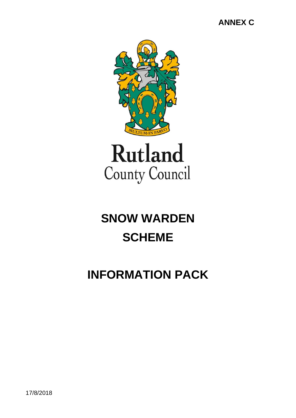## **ANNEX C**



# **SNOW WARDEN SCHEME**

## **INFORMATION PACK**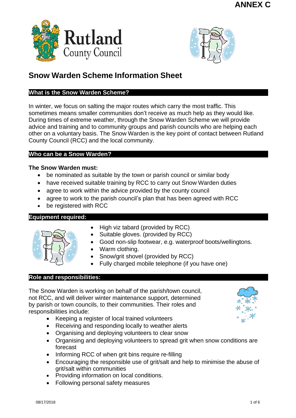



## **Snow Warden Scheme Information Sheet**

#### **What is the Snow Warden Scheme?**

In winter, we focus on salting the major routes which carry the most traffic. This sometimes means smaller communities don't receive as much help as they would like. During times of extreme weather, through the Snow Warden Scheme we will provide advice and training and to community groups and parish councils who are helping each other on a voluntary basis. The Snow Warden is the key point of contact between Rutland County Council (RCC) and the local community.

#### **Who can be a Snow Warden?**

#### **The Snow Warden must:**

- be nominated as suitable by the town or parish council or similar body
- have received suitable training by RCC to carry out Snow Warden duties
- agree to work within the advice provided by the county council
- agree to work to the parish council's plan that has been agreed with RCC
- be registered with RCC

#### **Equipment required:**



- $\bullet$  High viz tabard (provided by RCC)
- Suitable gloves. (provided by RCC)
- Good non-slip footwear, e.g. waterproof boots/wellingtons.
- Warm clothing.
- Snow/grit shovel (provided by RCC)
- Fully charged mobile telephone (if you have one)

#### **Role and responsibilities:**

The Snow Warden is working on behalf of the parish/town council, not RCC, and will deliver winter maintenance support, determined by parish or town councils, to their communities. Their roles and responsibilities include:

- Keeping a register of local trained volunteers
- Receiving and responding locally to weather alerts
- Organising and deploying volunteers to clear snow
- Organising and deploving volunteers to spread grit when snow conditions are forecast
- Informing RCC of when grit bins require re-filling
- Encouraging the responsible use of grit/salt and help to minimise the abuse of grit/salt within communities
- Providing information on local conditions.
- Following personal safety measures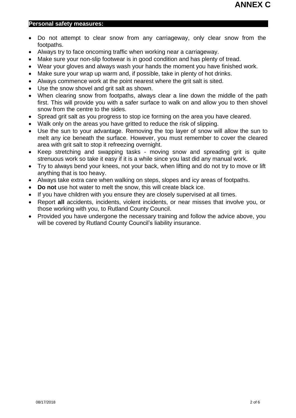#### **Personal safety measures:**

- Do not attempt to clear snow from any carriageway, only clear snow from the footpaths.
- Always try to face oncoming traffic when working near a carriageway.
- Make sure your non-slip footwear is in good condition and has plenty of tread.
- Wear your gloves and always wash your hands the moment you have finished work.
- Make sure your wrap up warm and, if possible, take in plenty of hot drinks.
- Always commence work at the point nearest where the grit salt is sited.
- Use the snow shovel and grit salt as shown.
- When clearing snow from footpaths, always clear a line down the middle of the path first. This will provide you with a safer surface to walk on and allow you to then shovel snow from the centre to the sides.
- Spread grit salt as you progress to stop ice forming on the area you have cleared.
- Walk only on the areas you have gritted to reduce the risk of slipping.
- Use the sun to your advantage. Removing the top layer of snow will allow the sun to melt any ice beneath the surface. However, you must remember to cover the cleared area with grit salt to stop it refreezing overnight.
- Keep stretching and swapping tasks moving snow and spreading grit is quite strenuous work so take it easy if it is a while since you last did any manual work.
- Try to always bend your knees, not your back, when lifting and do not try to move or lift anything that is too heavy.
- Always take extra care when walking on steps, slopes and icy areas of footpaths.
- **Do not** use hot water to melt the snow, this will create black ice.
- If you have children with you ensure they are closely supervised at all times.
- Report **all** accidents, incidents, violent incidents, or near misses that involve you, or those working with you, to Rutland County Council.
- Provided you have undergone the necessary training and follow the advice above, you will be covered by Rutland County Council's liability insurance.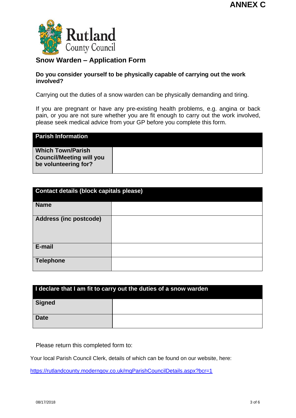

#### **Snow Warden – Application Form**

#### **Do you consider yourself to be physically capable of carrying out the work involved?**

Carrying out the duties of a snow warden can be physically demanding and tiring.

If you are pregnant or have any pre-existing health problems, e.g. angina or back pain, or you are not sure whether you are fit enough to carry out the work involved, please seek medical advice from your GP before you complete this form.

| <b>Parish Information</b>                                                           |  |
|-------------------------------------------------------------------------------------|--|
| <b>Which Town/Parish</b><br><b>Council/Meeting will you</b><br>be volunteering for? |  |

| <b>Contact details (block capitals please)</b> |  |  |  |
|------------------------------------------------|--|--|--|
| <b>Name</b>                                    |  |  |  |
| <b>Address (inc postcode)</b>                  |  |  |  |
| E-mail                                         |  |  |  |
| <b>Telephone</b>                               |  |  |  |

| I declare that I am fit to carry out the duties of a snow warden |  |  |  |
|------------------------------------------------------------------|--|--|--|
| <b>Signed</b>                                                    |  |  |  |
| <b>Date</b>                                                      |  |  |  |

Please return this completed form to:

Your local Parish Council Clerk, details of which can be found on our website, here:

<https://rutlandcounty.moderngov.co.uk/mgParishCouncilDetails.aspx?bcr=1>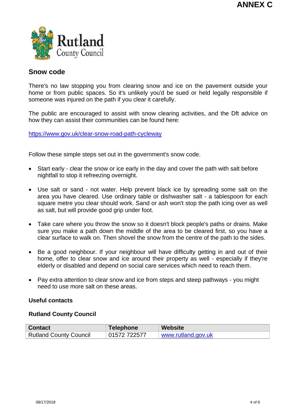

#### **Snow code**

There's no law stopping you from clearing snow and ice on the pavement outside your home or from public spaces. So it's unlikely you'd be sued or held legally responsible if someone was injured on the path if you clear it carefully.

The public are encouraged to assist with snow clearing activities, and the Dft advice on how they can assist their communities can be found here:

<https://www.gov.uk/clear-snow-road-path-cycleway>

Follow these simple steps set out in the government's snow code.

- Start early clear the snow or ice early in the day and cover the path with salt before nightfall to stop it refreezing overnight.
- Use salt or sand not water. Help prevent black ice by spreading some salt on the area you have cleared. Use ordinary table or dishwasher salt - a tablespoon for each square metre you clear should work. Sand or ash won't stop the path icing over as well as salt, but will provide good grip under foot.
- Take care where you throw the snow so it doesn't block people's paths or drains. Make sure you make a path down the middle of the area to be cleared first, so you have a clear surface to walk on. Then shovel the snow from the centre of the path to the sides.
- Be a good neighbour. If your neighbour will have difficulty getting in and out of their home, offer to clear snow and ice around their property as well - especially if they're elderly or disabled and depend on social care services which need to reach them.
- Pay extra attention to clear snow and ice from steps and steep pathways you might need to use more salt on these areas.

#### **Useful contacts**

#### **Rutland County Council**

| <b>Contact</b>                | Telephone    | <b>Website</b>     |
|-------------------------------|--------------|--------------------|
| <b>Rutland County Council</b> | 01572 722577 | www.rutland.gov.uk |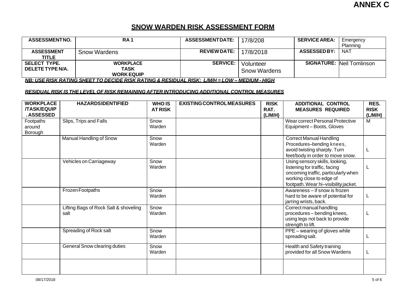#### **SNOW WARDEN RISK ASSESSMENT FORM**

| <b>ASSESSMENTNO.</b>                    | RA <sub>1</sub>                                      | <b>ASSESSMENTDATE:</b>                  | 17/8/208                                             | <b>SERVICE AREA:</b> | Emergency<br>Planning            |
|-----------------------------------------|------------------------------------------------------|-----------------------------------------|------------------------------------------------------|----------------------|----------------------------------|
| <b>ASSESSMENT</b><br><b>TITLE</b>       | <b>Snow Wardens</b>                                  | <b>REVIEW DATE:</b>                     | 17/8/2018                                            | <b>ASSESSEDBY:</b>   | <b>NAT</b>                       |
| <b>SELECT TYPE.</b><br>DELETE TYPE N/A. | <b>WORKPLACE</b><br><b>TASK</b><br><b>WORK EQUIP</b> | <b>SERVICE:</b><br>______ _ ____ _ ____ | Volunteer<br><b>Snow Wardens</b><br>---------------- |                      | <b>SIGNATURE: Neil Tomlinson</b> |

NB: USE RISK RATING SHEET TO DECIDE RISK RATING & RESIDUAL RISK: L/M/H = LOW - MEDIUM - HIGH

#### *RESIDUAL RISK IS THE LEVEL OF RISK REMAINING AFTER INTRODUCING ADDITIONAL CONTROL MEASURES*

| <b>WORKPLACE</b><br><b>/TASK/EQUIP</b><br><b>. ASSESSED</b> | <b>HAZARDSIDENTIFIED</b>                      | <b>WHO IS</b><br><b>AT RISK</b> | <b>EXISTING CONTROL MEASURES</b> | <b>RISK</b><br>RAT.<br>(L/M/H) | <b>ADDITIONAL CONTROL</b><br><b>MEASURES REQUIRED</b>                                                                                                                      | RES.<br><b>RISK</b><br>(L/M/H) |
|-------------------------------------------------------------|-----------------------------------------------|---------------------------------|----------------------------------|--------------------------------|----------------------------------------------------------------------------------------------------------------------------------------------------------------------------|--------------------------------|
| Footpaths<br>around<br>Borough                              | Slips, Trips and Falls                        | Snow<br>Warden                  |                                  |                                | Wear correct Personal Protective<br>Equipment-Boots, Gloves                                                                                                                | M                              |
|                                                             | Manual Handling of Snow                       | Snow<br>Warden                  |                                  |                                | <b>Correct Manual Handling</b><br>Procedures-bending knees,<br>avoid twisting sharply. Turn<br>feet/body in order to move snow.                                            |                                |
|                                                             | Vehicles on Carriageway                       | Snow<br>Warden                  |                                  |                                | Using sensory skills, looking,<br>listening for traffic, facing<br>oncoming traffic, particularly when<br>working close to edge of<br>footpath. Wear hi-visibility jacket. |                                |
|                                                             | Frozen Footpaths                              | Snow<br>Warden                  |                                  |                                | Awareness - if snow is frozen<br>hard to be aware of potential for<br>jarring wrists, back.                                                                                |                                |
|                                                             | Lifting Bags of Rock Salt & shoveling<br>salt | Snow<br>Warden                  |                                  |                                | Correct manual handling<br>procedures - bending knees,<br>using legs not back to provide<br>strength to lift.                                                              |                                |
|                                                             | Spreading of Rock salt                        | Snow<br>Warden                  |                                  |                                | PPE - wearing of gloves while<br>spreading salt.                                                                                                                           |                                |
|                                                             | General Snow clearing duties                  | Snow<br>Warden                  |                                  |                                | Health and Safety training<br>provided for all Snow Wardens                                                                                                                |                                |
|                                                             |                                               |                                 |                                  |                                |                                                                                                                                                                            |                                |